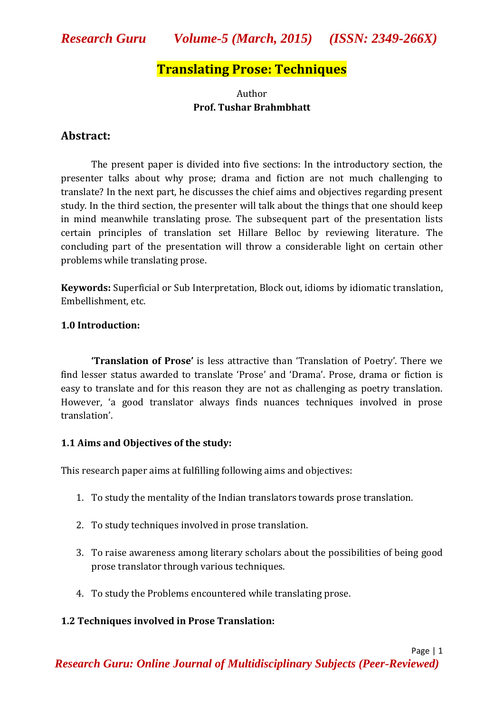## *Research Guru Volume-5 (March, 2015) (ISSN: 2349-266X)*

## **Translating Prose: Techniques**

## Author **Prof. Tushar Brahmbhatt**

## **Abstract:**

The present paper is divided into five sections: In the introductory section, the presenter talks about why prose; drama and fiction are not much challenging to translate? In the next part, he discusses the chief aims and objectives regarding present study. In the third section, the presenter will talk about the things that one should keep in mind meanwhile translating prose. The subsequent part of the presentation lists certain principles of translation set Hillare Belloc by reviewing literature. The concluding part of the presentation will throw a considerable light on certain other problems while translating prose.

**Keywords:** Superficial or Sub Interpretation, Block out, idioms by idiomatic translation, Embellishment, etc.

## **1.0 Introduction:**

**'Translation of Prose'** is less attractive than 'Translation of Poetry'. There we find lesser status awarded to translate 'Prose' and 'Drama'. Prose, drama or fiction is easy to translate and for this reason they are not as challenging as poetry translation. However, 'a good translator always finds nuances techniques involved in prose translation'.

## **1.1 Aims and Objectives of the study:**

This research paper aims at fulfilling following aims and objectives:

- 1. To study the mentality of the Indian translators towards prose translation.
- 2. To study techniques involved in prose translation.
- 3. To raise awareness among literary scholars about the possibilities of being good prose translator through various techniques.
- 4. To study the Problems encountered while translating prose.

## **1.2 Techniques involved in Prose Translation:**

Page | 1 *Research Guru: Online Journal of Multidisciplinary Subjects (Peer-Reviewed)*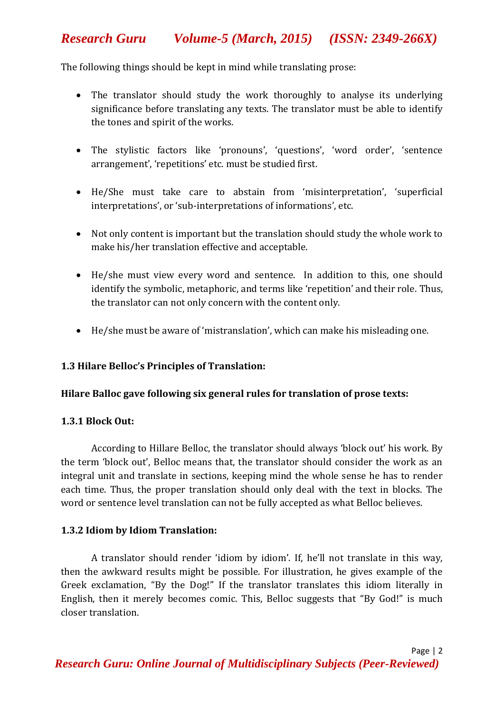## *Research Guru Volume-5 (March, 2015) (ISSN: 2349-266X)*

The following things should be kept in mind while translating prose:

- The translator should study the work thoroughly to analyse its underlying significance before translating any texts. The translator must be able to identify the tones and spirit of the works.
- The stylistic factors like 'pronouns', 'questions', 'word order', 'sentence arrangement', 'repetitions' etc. must be studied first.
- He/She must take care to abstain from 'misinterpretation', 'superficial interpretations', or 'sub-interpretations of informations', etc.
- Not only content is important but the translation should study the whole work to make his/her translation effective and acceptable.
- He/she must view every word and sentence. In addition to this, one should identify the symbolic, metaphoric, and terms like 'repetition' and their role. Thus, the translator can not only concern with the content only.
- He/she must be aware of 'mistranslation', which can make his misleading one.

## **1.3 Hilare Belloc's Principles of Translation:**

#### **Hilare Balloc gave following six general rules for translation of prose texts:**

#### **1.3.1 Block Out:**

According to Hillare Belloc, the translator should always 'block out' his work. By the term 'block out', Belloc means that, the translator should consider the work as an integral unit and translate in sections, keeping mind the whole sense he has to render each time. Thus, the proper translation should only deal with the text in blocks. The word or sentence level translation can not be fully accepted as what Belloc believes.

#### **1.3.2 Idiom by Idiom Translation:**

A translator should render 'idiom by idiom'. If, he'll not translate in this way, then the awkward results might be possible. For illustration, he gives example of the Greek exclamation, "By the Dog!" If the translator translates this idiom literally in English, then it merely becomes comic. This, Belloc suggests that "By God!" is much closer translation.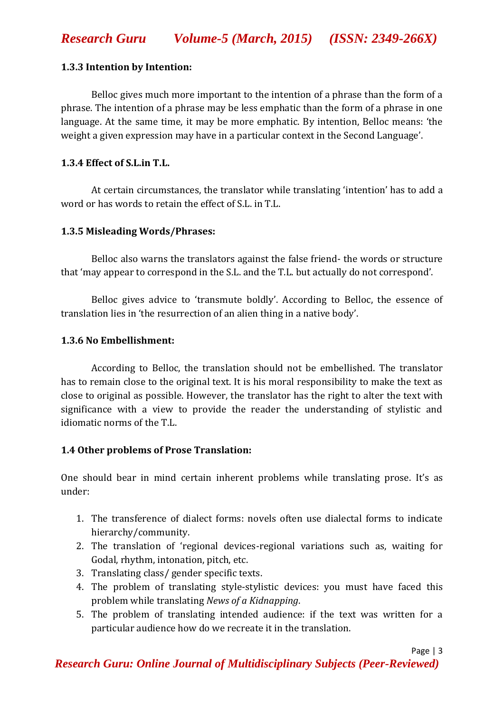## **1.3.3 Intention by Intention:**

Belloc gives much more important to the intention of a phrase than the form of a phrase. The intention of a phrase may be less emphatic than the form of a phrase in one language. At the same time, it may be more emphatic. By intention, Belloc means: 'the weight a given expression may have in a particular context in the Second Language'.

## **1.3.4 Effect of S.L.in T.L.**

At certain circumstances, the translator while translating 'intention' has to add a word or has words to retain the effect of S.L. in T.L.

## **1.3.5 Misleading Words/Phrases:**

Belloc also warns the translators against the false friend- the words or structure that 'may appear to correspond in the S.L. and the T.L. but actually do not correspond'.

Belloc gives advice to 'transmute boldly'. According to Belloc, the essence of translation lies in 'the resurrection of an alien thing in a native body'.

## **1.3.6 No Embellishment:**

According to Belloc, the translation should not be embellished. The translator has to remain close to the original text. It is his moral responsibility to make the text as close to original as possible. However, the translator has the right to alter the text with significance with a view to provide the reader the understanding of stylistic and idiomatic norms of the T.L.

## **1.4 Other problems of Prose Translation:**

One should bear in mind certain inherent problems while translating prose. It's as under:

- 1. The transference of dialect forms: novels often use dialectal forms to indicate hierarchy/community.
- 2. The translation of 'regional devices-regional variations such as, waiting for Godal, rhythm, intonation, pitch, etc.
- 3. Translating class/ gender specific texts.
- 4. The problem of translating style-stylistic devices: you must have faced this problem while translating *News of a Kidnapping*.
- 5. The problem of translating intended audience: if the text was written for a particular audience how do we recreate it in the translation.